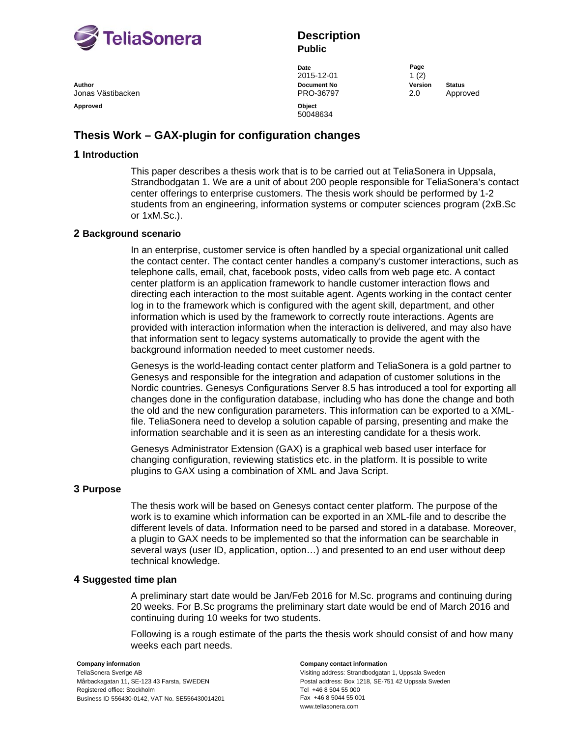

**Author Document No Version Status** Jonas Västibacken PRO-36797 2.0 Approved Approved **Object** 

# **Description Public**

**Date** Page **Page** 2015-12-01 1 (2)

50048634

# **Thesis Work – GAX-plugin for configuration changes**

## **1 Introduction**

This paper describes a thesis work that is to be carried out at TeliaSonera in Uppsala, Strandbodgatan 1. We are a unit of about 200 people responsible for TeliaSonera's contact center offerings to enterprise customers. The thesis work should be performed by 1-2 students from an engineering, information systems or computer sciences program (2xB.Sc or 1xM.Sc.).

### **2 Background scenario**

In an enterprise, customer service is often handled by a special organizational unit called the contact center. The contact center handles a company's customer interactions, such as telephone calls, email, chat, facebook posts, video calls from web page etc. A contact center platform is an application framework to handle customer interaction flows and directing each interaction to the most suitable agent. Agents working in the contact center log in to the framework which is configured with the agent skill, department, and other information which is used by the framework to correctly route interactions. Agents are provided with interaction information when the interaction is delivered, and may also have that information sent to legacy systems automatically to provide the agent with the background information needed to meet customer needs.

Genesys is the world-leading contact center platform and TeliaSonera is a gold partner to Genesys and responsible for the integration and adapation of customer solutions in the Nordic countries. Genesys Configurations Server 8.5 has introduced a tool for exporting all changes done in the configuration database, including who has done the change and both the old and the new configuration parameters. This information can be exported to a XMLfile. TeliaSonera need to develop a solution capable of parsing, presenting and make the information searchable and it is seen as an interesting candidate for a thesis work.

Genesys Administrator Extension (GAX) is a graphical web based user interface for changing configuration, reviewing statistics etc. in the platform. It is possible to write plugins to GAX using a combination of XML and Java Script.

### **3 Purpose**

The thesis work will be based on Genesys contact center platform. The purpose of the work is to examine which information can be exported in an XML-file and to describe the different levels of data. Information need to be parsed and stored in a database. Moreover, a plugin to GAX needs to be implemented so that the information can be searchable in several ways (user ID, application, option…) and presented to an end user without deep technical knowledge.

### **4 Suggested time plan**

A preliminary start date would be Jan/Feb 2016 for M.Sc. programs and continuing during 20 weeks. For B.Sc programs the preliminary start date would be end of March 2016 and continuing during 10 weeks for two students.

Following is a rough estimate of the parts the thesis work should consist of and how many weeks each part needs.

TeliaSonera Sverige AB Mårbackagatan 11, SE-123 43 Farsta, SWEDEN Registered office: Stockholm Business ID 556430-0142, VAT No. SE556430014201

#### **Company information Company contact information**

Visiting address: Strandbodgatan 1, Uppsala Sweden Postal address: Box 1218, SE-751 42 Uppsala Sweden Tel +46 8 504 55 000 Fax +46 8 5044 55 001 www.teliasonera.com